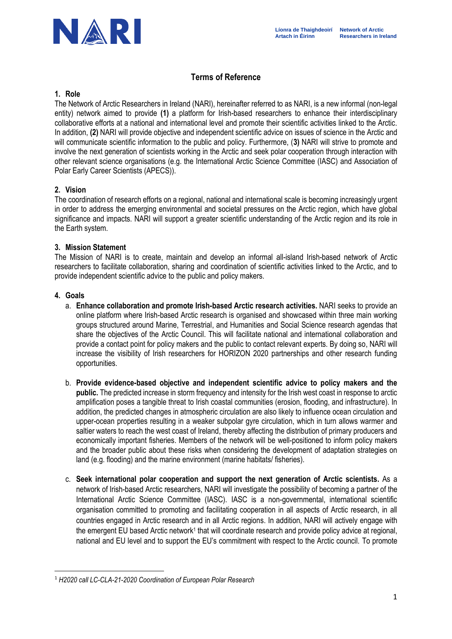

# **Terms of Reference**

#### **1. Role**

The Network of Arctic Researchers in Ireland (NARI), hereinafter referred to as NARI, is a new informal (non-legal entity) network aimed to provide **(1)** a platform for Irish-based researchers to enhance their interdisciplinary collaborative efforts at a national and international level and promote their scientific activities linked to the Arctic. In addition, **(2)** NARI will provide objective and independent scientific advice on issues of science in the Arctic and will communicate scientific information to the public and policy. Furthermore, (**3)** NARI will strive to promote and involve the next generation of scientists working in the Arctic and seek polar cooperation through interaction with other relevant science organisations (e.g. the International Arctic Science Committee (IASC) and Association of Polar Early Career Scientists (APECS)).

# **2. Vision**

The coordination of research efforts on a regional, national and international scale is becoming increasingly urgent in order to address the emerging environmental and societal pressures on the Arctic region, which have global significance and impacts. NARI will support a greater scientific understanding of the Arctic region and its role in the Earth system.

#### **3. Mission Statement**

The Mission of NARI is to create, maintain and develop an informal all-island Irish-based network of Arctic researchers to facilitate collaboration, sharing and coordination of scientific activities linked to the Arctic, and to provide independent scientific advice to the public and policy makers.

#### **4. Goals**

- a. **Enhance collaboration and promote Irish-based Arctic research activities.** NARI seeks to provide an online platform where Irish-based Arctic research is organised and showcased within three main working groups structured around Marine, Terrestrial, and Humanities and Social Science research agendas that share the objectives of the Arctic Council. This will facilitate national and international collaboration and provide a contact point for policy makers and the public to contact relevant experts. By doing so, NARI will increase the visibility of Irish researchers for HORIZON 2020 partnerships and other research funding opportunities.
- b. **Provide evidence-based objective and independent scientific advice to policy makers and the public.** The predicted increase in storm frequency and intensity for the Irish west coast in response to arctic amplification poses a tangible threat to Irish coastal communities (erosion, flooding, and infrastructure). In addition, the predicted changes in atmospheric circulation are also likely to influence ocean circulation and upper-ocean properties resulting in a weaker subpolar gyre circulation, which in turn allows warmer and saltier waters to reach the west coast of Ireland, thereby affecting the distribution of primary producers and economically important fisheries. Members of the network will be well-positioned to inform policy makers and the broader public about these risks when considering the development of adaptation strategies on land (e.g. flooding) and the marine environment (marine habitats/ fisheries).
- c. **Seek international polar cooperation and support the next generation of Arctic scientists.** As a network of Irish-based Arctic researchers, NARI will investigate the possibility of becoming a partner of the International Arctic Science Committee (IASC). IASC is a non-governmental, international scientific organisation committed to promoting and facilitating cooperation in all aspects of Arctic research, in all countries engaged in Arctic research and in all Arctic regions. In addition, NARI will actively engage with the emergent EU based Arctic network<sup>1</sup> that will coordinate research and provide policy advice at regional, national and EU level and to support the EU's commitment with respect to the Arctic council. To promote

<sup>1</sup> *H2020 call LC-CLA-21-2020 Coordination of European Polar Research*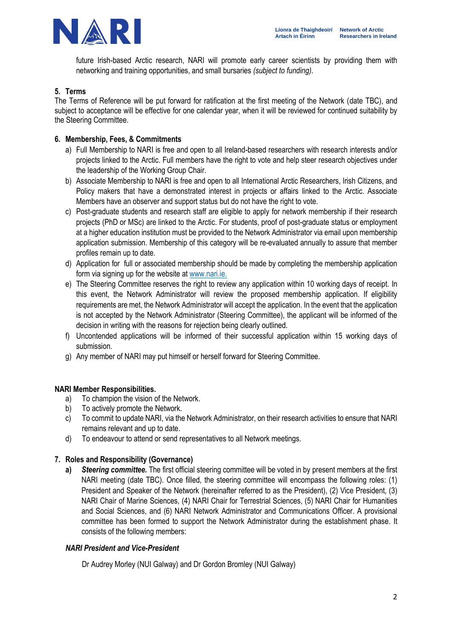

future Irish-based Arctic research, NARI will promote early career scientists by providing them with networking and training opportunities, and small bursaries *(subject to funding).* 

#### **5. Terms**

The Terms of Reference will be put forward for ratification at the first meeting of the Network (date TBC), and subject to acceptance will be effective for one calendar year, when it will be reviewed for continued suitability by the Steering Committee.

### **6. Membership, Fees, & Commitments**

- a) Full Membership to NARI is free and open to all Ireland-based researchers with research interests and/or projects linked to the Arctic. Full members have the right to vote and help steer research objectives under the leadership of the Working Group Chair.
- b) Associate Membership to NARI is free and open to all International Arctic Researchers, Irish Citizens, and Policy makers that have a demonstrated interest in projects or affairs linked to the Arctic. Associate Members have an observer and support status but do not have the right to vote.
- c) Post-graduate students and research staff are eligible to apply for network membership if their research projects (PhD or MSc) are linked to the Arctic. For students, proof of post-graduate status or employment at a higher education institution must be provided to the Network Administrator via email upon membership application submission. Membership of this category will be re-evaluated annually to assure that member profiles remain up to date.
- d) Application for full or associated membership should be made by completing the membership application form via signing up for the website at [www.nari.ie.](http://www.nari.ie/)
- e) The Steering Committee reserves the right to review any application within 10 working days of receipt. In this event, the Network Administrator will review the proposed membership application. If eligibility requirements are met, the Network Administrator will accept the application. In the event that the application is not accepted by the Network Administrator (Steering Committee), the applicant will be informed of the decision in writing with the reasons for rejection being clearly outlined.
- f) Uncontended applications will be informed of their successful application within 15 working days of submission.
- g) Any member of NARI may put himself or herself forward for Steering Committee.

#### **NARI Member Responsibilities.**

- a) To champion the vision of the Network.
- b) To actively promote the Network.
- c) To commit to update NARI, via the Network Administrator, on their research activities to ensure that NARI remains relevant and up to date.
- d) To endeavour to attend or send representatives to all Network meetings.

#### **7. Roles and Responsibility (Governance)**

**a)** *Steering committee.* The first official steering committee will be voted in by present members at the first NARI meeting (date TBC). Once filled, the steering committee will encompass the following roles: (1) President and Speaker of the Network (hereinafter referred to as the President), (2) Vice President, (3) NARI Chair of Marine Sciences, (4) NARI Chair for Terrestrial Sciences, (5) NARI Chair for Humanities and Social Sciences, and (6) NARI Network Administrator and Communications Officer. A provisional committee has been formed to support the Network Administrator during the establishment phase. It consists of the following members:

#### *NARI President and Vice-President*

Dr Audrey Morley (NUI Galway) and Dr Gordon Bromley (NUI Galway)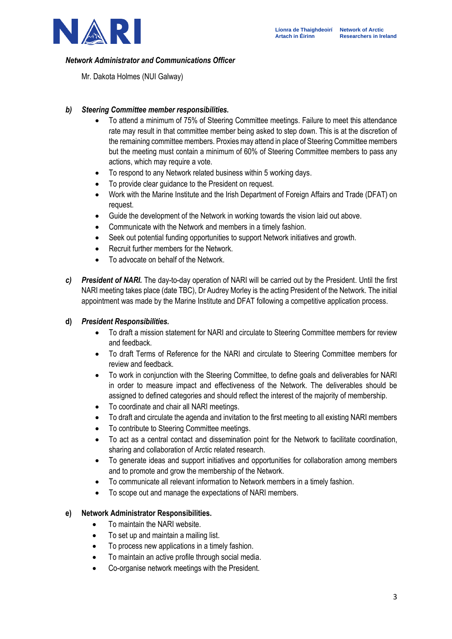

# *Network Administrator and Communications Officer*

Mr. Dakota Holmes (NUI Galway)

# *b) Steering Committee member responsibilities.*

- To attend a minimum of 75% of Steering Committee meetings. Failure to meet this attendance rate may result in that committee member being asked to step down. This is at the discretion of the remaining committee members. Proxies may attend in place of Steering Committee members but the meeting must contain a minimum of 60% of Steering Committee members to pass any actions, which may require a vote.
- To respond to any Network related business within 5 working days.
- To provide clear quidance to the President on request.
- Work with the Marine Institute and the Irish Department of Foreign Affairs and Trade (DFAT) on request.
- Guide the development of the Network in working towards the vision laid out above.
- Communicate with the Network and members in a timely fashion.
- Seek out potential funding opportunities to support Network initiatives and growth.
- Recruit further members for the Network.
- To advocate on behalf of the Network.
- *c) President of NARI.* The day-to-day operation of NARI will be carried out by the President. Until the first NARI meeting takes place (date TBC), Dr Audrey Morley is the acting President of the Network. The initial appointment was made by the Marine Institute and DFAT following a competitive application process.

#### **d)** *President Responsibilities.*

- To draft a mission statement for NARI and circulate to Steering Committee members for review and feedback.
- To draft Terms of Reference for the NARI and circulate to Steering Committee members for review and feedback.
- To work in conjunction with the Steering Committee, to define goals and deliverables for NARI in order to measure impact and effectiveness of the Network. The deliverables should be assigned to defined categories and should reflect the interest of the majority of membership.
- To coordinate and chair all NARI meetings.
- To draft and circulate the agenda and invitation to the first meeting to all existing NARI members
- To contribute to Steering Committee meetings.
- To act as a central contact and dissemination point for the Network to facilitate coordination, sharing and collaboration of Arctic related research.
- To generate ideas and support initiatives and opportunities for collaboration among members and to promote and grow the membership of the Network.
- To communicate all relevant information to Network members in a timely fashion.
- To scope out and manage the expectations of NARI members.

#### **e) Network Administrator Responsibilities.**

- To maintain the NARI website.
- To set up and maintain a mailing list.
- To process new applications in a timely fashion.
- To maintain an active profile through social media.
- Co-organise network meetings with the President.